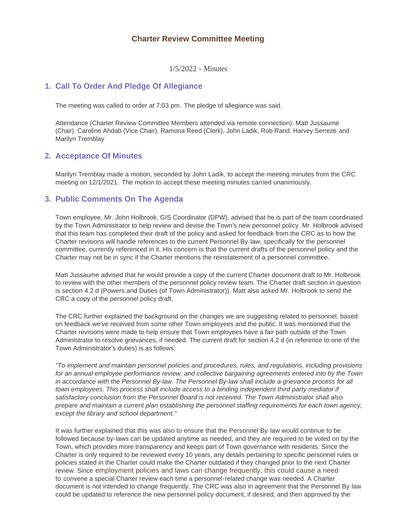# **Charter Review Committee Meeting**

1/5/2022 - Minutes

## **Call To Order And Pledge Of Allegiance 1.**

The meeting was called to order at 7:03 pm. The pledge of allegiance was said.

Attendance (Charter Review Committee Members attended via remote connection): Matt Jussaume (Chair), Caroline Ahdab (Vice Chair), Ramona Reed (Clerk), John Ladik, Rob Rand, Harvey Serreze, and Marilyn Tremblay

# **Acceptance Of Minutes 2.**

Marilyn Tremblay made a motion, seconded by John Ladik, to accept the meeting minutes from the CRC meeting on 12/1/2021. The motion to accept these meeting minutes carried unanimously.

## **Public Comments On The Agenda 3.**

Town employee, Mr. John Holbrook, GIS Coordinator (DPW), advised that he is part of the team coordinated by the Town Administrator to help review and devise the Town's new personnel policy. Mr. Holbrook advised that this team has completed their draft of the policy and asked for feedback from the CRC as to how the Charter revisions will handle references to the current Personnel By-law, specifically for the personnel committee, currently referenced in it. His concern is that the current drafts of the personnel policy and the Charter may not be in sync if the Charter mentions the reinstatement of a personnel committee.

Matt Jussaume advised that he would provide a copy of the current Charter document draft to Mr. Holbrook to review with the other members of the personnel policy review team. The Charter draft section in question is section 4.2 d (Powers and Duties (of Town Administrator)). Matt also asked Mr. Holbrook to send the CRC a copy of the personnel policy draft.

The CRC further explained the background on the changes we are suggesting related to personnel, based on feedback we've received from some other Town employees and the public. It was mentioned that the Charter revisions were made to help ensure that Town employees have a fair path outside of the Town Administrator to resolve grievances, if needed. The current draft for section 4.2 d (in reference to one of the Town Administrator's duties) is as follows:

*"To implement and maintain personnel policies and procedures, rules, and regulations, including provisions for an annual employee performance review, and collective bargaining agreements entered into by the Town*  in accordance with the Personnel By-law. The Personnel By-law shall include a grievance process for all *town employees. This process shall include access to a binding independent third party mediator if satisfactory conclusion from the Personnel Board is not received. The Town Administrator shall also prepare and maintain a current plan establishing the personnel staffing requirements for each town agency, except the library and school department."*

It was further explained that this was also to ensure that the Personnel By-law would continue to be followed because by-laws can be updated anytime as needed, and they are required to be voted on by the Town, which provides more transparency and keeps part of Town governance with residents. Since the Charter is only required to be reviewed every 10 years, any details pertaining to specific personnel rules or policies stated in the Charter could make the Charter outdated if they changed prior to the next Charter review. Since employment policies and laws can change frequently, this could cause a need to convene a special Charter review each time a personnel-related change was needed. A Charter document is not intended to change frequently. The CRC was also in agreement that the Personnel By-law could be updated to reference the new personnel policy document, if desired, and then approved by the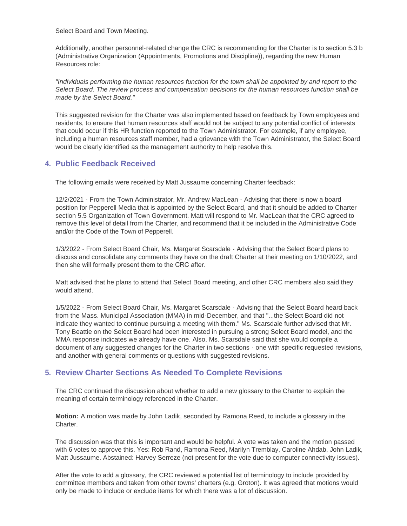Select Board and Town Meeting.

Additionally, another personnel-related change the CRC is recommending for the Charter is to section 5.3 b (Administrative Organization (Appointments, Promotions and Discipline)), regarding the new Human Resources role:

*"Individuals performing the human resources function for the town shall be appointed by and report to the Select Board. The review process and compensation decisions for the human resources function shall be made by the Select Board."*

This suggested revision for the Charter was also implemented based on feedback by Town employees and residents, to ensure that human resources staff would not be subject to any potential conflict of interests that could occur if this HR function reported to the Town Administrator. For example, if any employee, including a human resources staff member, had a grievance with the Town Administrator, the Select Board would be clearly identified as the management authority to help resolve this.

# **Public Feedback Received 4.**

The following emails were received by Matt Jussaume concerning Charter feedback:

12/2/2021 - From the Town Administrator, Mr. Andrew MacLean - Advising that there is now a board position for Pepperell Media that is appointed by the Select Board, and that it should be added to Charter section 5.5 Organization of Town Government. Matt will respond to Mr. MacLean that the CRC agreed to remove this level of detail from the Charter, and recommend that it be included in the Administrative Code and/or the Code of the Town of Pepperell.

1/3/2022 - From Select Board Chair, Ms. Margaret Scarsdale - Advising that the Select Board plans to discuss and consolidate any comments they have on the draft Charter at their meeting on 1/10/2022, and then she will formally present them to the CRC after.

Matt advised that he plans to attend that Select Board meeting, and other CRC members also said they would attend.

1/5/2022 - From Select Board Chair, Ms. Margaret Scarsdale - Advising that the Select Board heard back from the Mass. Municipal Association (MMA) in mid-December, and that "...the Select Board did not indicate they wanted to continue pursuing a meeting with them." Ms. Scarsdale further advised that Mr. Tony Beattie on the Select Board had been interested in pursuing a strong Select Board model, and the MMA response indicates we already have one. Also, Ms. Scarsdale said that she would compile a document of any suggested changes for the Charter in two sections - one with specific requested revisions, and another with general comments or questions with suggested revisions.

# **Review Charter Sections As Needed To Complete Revisions 5.**

The CRC continued the discussion about whether to add a new glossary to the Charter to explain the meaning of certain terminology referenced in the Charter.

**Motion:** A motion was made by John Ladik, seconded by Ramona Reed, to include a glossary in the Charter.

The discussion was that this is important and would be helpful. A vote was taken and the motion passed with 6 votes to approve this. Yes: Rob Rand, Ramona Reed, Marilyn Tremblay, Caroline Ahdab, John Ladik, Matt Jussaume. Abstained: Harvey Serreze (not present for the vote due to computer connectivity issues).

After the vote to add a glossary, the CRC reviewed a potential list of terminology to include provided by committee members and taken from other towns' charters (e.g. Groton). It was agreed that motions would only be made to include or exclude items for which there was a lot of discussion.